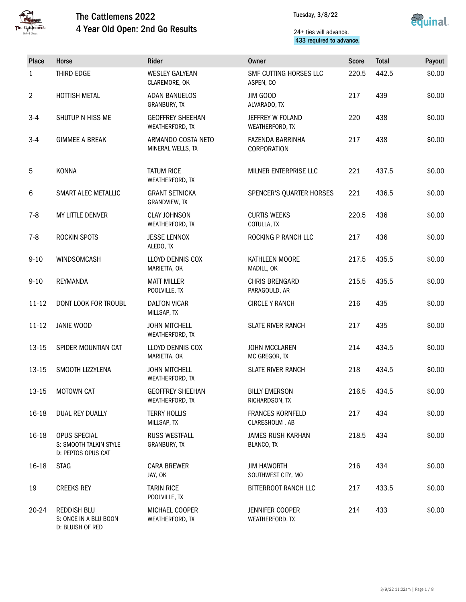



### 24+ ties will advance. 433 required to advance.

| Place          | Horse                                                           | Rider                                       | <b>Owner</b>                              | <b>Score</b> | <b>Total</b> | Payout |
|----------------|-----------------------------------------------------------------|---------------------------------------------|-------------------------------------------|--------------|--------------|--------|
| $\mathbf{1}$   | THIRD EDGE                                                      | <b>WESLEY GALYEAN</b><br>CLAREMORE, OK      | SMF CUTTING HORSES LLC<br>ASPEN, CO       | 220.5        | 442.5        | \$0.00 |
| $\overline{2}$ | HOTTISH METAL                                                   | <b>ADAN BANUELOS</b><br><b>GRANBURY, TX</b> | JIM GOOD<br>ALVARADO, TX                  | 217          | 439          | \$0.00 |
| $3-4$          | SHUTUP N HISS ME                                                | <b>GEOFFREY SHEEHAN</b><br>WEATHERFORD, TX  | JEFFREY W FOLAND<br>WEATHERFORD, TX       | 220          | 438          | \$0.00 |
| $3 - 4$        | <b>GIMMEE A BREAK</b>                                           | ARMANDO COSTA NETO<br>MINERAL WELLS, TX     | FAZENDA BARRINHA<br>CORPORATION           | 217          | 438          | \$0.00 |
| 5              | <b>KONNA</b>                                                    | <b>TATUM RICE</b><br>WEATHERFORD, TX        | MILNER ENTERPRISE LLC                     | 221          | 437.5        | \$0.00 |
| 6              | SMART ALEC METALLIC                                             | <b>GRANT SETNICKA</b><br>GRANDVIEW, TX      | SPENCER'S QUARTER HORSES                  | 221          | 436.5        | \$0.00 |
| $7 - 8$        | MY LITTLE DENVER                                                | <b>CLAY JOHNSON</b><br>WEATHERFORD, TX      | <b>CURTIS WEEKS</b><br>COTULLA, TX        | 220.5        | 436          | \$0.00 |
| $7 - 8$        | ROCKIN SPOTS                                                    | <b>JESSE LENNOX</b><br>ALEDO, TX            | ROCKING P RANCH LLC                       | 217          | 436          | \$0.00 |
| $9 - 10$       | WINDSOMCASH                                                     | <b>LLOYD DENNIS COX</b><br>MARIETTA, OK     | KATHLEEN MOORE<br>MADILL, OK              | 217.5        | 435.5        | \$0.00 |
| $9 - 10$       | <b>REYMANDA</b>                                                 | <b>MATT MILLER</b><br>POOLVILLE, TX         | CHRIS BRENGARD<br>PARAGOULD, AR           | 215.5        | 435.5        | \$0.00 |
| $11 - 12$      | DONT LOOK FOR TROUBL                                            | <b>DALTON VICAR</b><br>MILLSAP, TX          | <b>CIRCLE Y RANCH</b>                     | 216          | 435          | \$0.00 |
| $11 - 12$      | <b>JANIE WOOD</b>                                               | <b>JOHN MITCHELL</b><br>WEATHERFORD, TX     | <b>SLATE RIVER RANCH</b>                  | 217          | 435          | \$0.00 |
| $13 - 15$      | SPIDER MOUNTIAN CAT                                             | <b>LLOYD DENNIS COX</b><br>MARIETTA, OK     | <b>JOHN MCCLAREN</b><br>MC GREGOR, TX     | 214          | 434.5        | \$0.00 |
| 13-15          | SMOOTH LIZZYLENA                                                | <b>JOHN MITCHELL</b><br>WEATHERFORD, TX     | <b>SLATE RIVER RANCH</b>                  | 218          | 434.5        | \$0.00 |
| $13 - 15$      | MOTOWN CAT                                                      | <b>GEOFFREY SHEEHAN</b><br>WEATHERFORD, TX  | <b>BILLY EMERSON</b><br>RICHARDSON, TX    | 216.5        | 434.5        | \$0.00 |
| 16-18          | DUAL REY DUALLY                                                 | <b>TERRY HOLLIS</b><br>MILLSAP, TX          | <b>FRANCES KORNFELD</b><br>CLARESHOLM, AB | 217          | 434          | \$0.00 |
| 16-18          | OPUS SPECIAL<br>S: SMOOTH TALKIN STYLE<br>D: PEPTOS OPUS CAT    | <b>RUSS WESTFALL</b><br>GRANBURY, TX        | JAMES RUSH KARHAN<br>BLANCO, TX           | 218.5        | 434          | \$0.00 |
| 16-18          | <b>STAG</b>                                                     | <b>CARA BREWER</b><br>JAY, OK               | <b>JIM HAWORTH</b><br>SOUTHWEST CITY, MO  | 216          | 434          | \$0.00 |
| 19             | <b>CREEKS REY</b>                                               | <b>TARIN RICE</b><br>POOLVILLE, TX          | BITTERROOT RANCH LLC                      | 217          | 433.5        | \$0.00 |
| 20-24          | <b>REDDISH BLU</b><br>S: ONCE IN A BLU BOON<br>D: BLUISH OF RED | MICHAEL COOPER<br>WEATHERFORD, TX           | JENNIFER COOPER<br>WEATHERFORD, TX        | 214          | 433          | \$0.00 |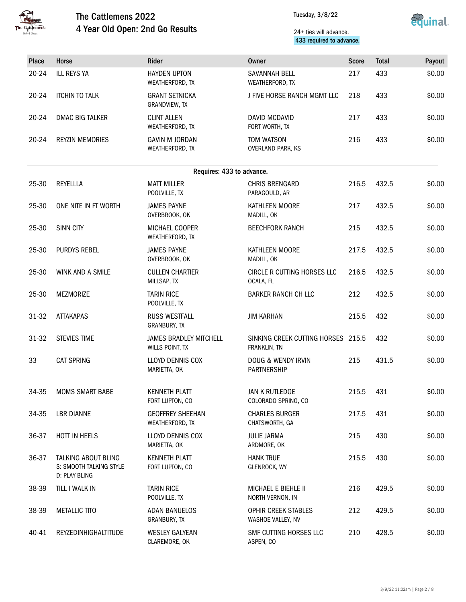



### 24+ ties will advance. 433 required to advance.

| Place     | Horse                                                                  | Rider                                            | Owner                                              | <b>Score</b> | <b>Total</b> | Payout |
|-----------|------------------------------------------------------------------------|--------------------------------------------------|----------------------------------------------------|--------------|--------------|--------|
| 20-24     | <b>ILL REYS YA</b>                                                     | <b>HAYDEN UPTON</b><br>WEATHERFORD, TX           | SAVANNAH BELL<br>WEATHERFORD, TX                   | 217          | 433          | \$0.00 |
| 20-24     | <b>ITCHIN TO TALK</b>                                                  | <b>GRANT SETNICKA</b><br>GRANDVIEW, TX           | J FIVE HORSE RANCH MGMT LLC                        | 218          | 433          | \$0.00 |
| 20-24     | <b>DMAC BIG TALKER</b>                                                 | <b>CLINT ALLEN</b><br>WEATHERFORD, TX            | DAVID MCDAVID<br>FORT WORTH, TX                    | 217          | 433          | \$0.00 |
| $20 - 24$ | <b>REYZIN MEMORIES</b>                                                 | <b>GAVIN M JORDAN</b><br>WEATHERFORD, TX         | TOM WATSON<br>OVERLAND PARK, KS                    | 216          | 433          | \$0.00 |
|           |                                                                        | Requires: 433 to advance.                        |                                                    |              |              |        |
| 25-30     | <b>REYELLLA</b>                                                        | <b>MATT MILLER</b><br>POOLVILLE, TX              | <b>CHRIS BRENGARD</b><br>PARAGOULD, AR             | 216.5        | 432.5        | \$0.00 |
| 25-30     | ONE NITE IN FT WORTH                                                   | <b>JAMES PAYNE</b><br>OVERBROOK, OK              | KATHLEEN MOORE<br>MADILL, OK                       | 217          | 432.5        | \$0.00 |
| 25-30     | <b>SINN CITY</b>                                                       | MICHAEL COOPER<br>WEATHERFORD, TX                | <b>BEECHFORK RANCH</b>                             | 215          | 432.5        | \$0.00 |
| 25-30     | PURDYS REBEL                                                           | <b>JAMES PAYNE</b><br>OVERBROOK, OK              | KATHLEEN MOORE<br>MADILL, OK                       | 217.5        | 432.5        | \$0.00 |
| 25-30     | WINK AND A SMILE                                                       | <b>CULLEN CHARTIER</b><br>MILLSAP, TX            | CIRCLE R CUTTING HORSES LLC<br>OCALA, FL           | 216.5        | 432.5        | \$0.00 |
| 25-30     | <b>MEZMORIZE</b>                                                       | <b>TARIN RICE</b><br>POOLVILLE, TX               | <b>BARKER RANCH CH LLC</b>                         | 212          | 432.5        | \$0.00 |
| 31-32     | <b>ATTAKAPAS</b>                                                       | <b>RUSS WESTFALL</b><br>GRANBURY, TX             | <b>JIM KARHAN</b>                                  | 215.5        | 432          | \$0.00 |
| 31-32     | <b>STEVIES TIME</b>                                                    | <b>JAMES BRADLEY MITCHELL</b><br>WILLS POINT, TX | SINKING CREEK CUTTING HORSES 215.5<br>FRANKLIN, TN |              | 432          | \$0.00 |
| 33        | <b>CAT SPRING</b>                                                      | <b>LLOYD DENNIS COX</b><br>MARIETTA, OK          | DOUG & WENDY IRVIN<br><b>PARTNERSHIP</b>           | 215          | 431.5        | \$0.00 |
| 34-35     | <b>MOMS SMART BABE</b>                                                 | KENNETH PLATT<br>FORT LUPTON, CO                 | JAN K RUTLEDGE<br>COLORADO SPRING, CO              | 215.5        | 431          | \$0.00 |
| 34-35     | <b>LBR DIANNE</b>                                                      | <b>GEOFFREY SHEEHAN</b><br>WEATHERFORD, TX       | <b>CHARLES BURGER</b><br>CHATSWORTH, GA            | 217.5        | 431          | \$0.00 |
| 36-37     | HOTT IN HEELS                                                          | LLOYD DENNIS COX<br>MARIETTA, OK                 | <b>JULIE JARMA</b><br>ARDMORE, OK                  | 215          | 430          | \$0.00 |
| 36-37     | <b>TALKING ABOUT BLING</b><br>S: SMOOTH TALKING STYLE<br>D: PLAY BLING | <b>KENNETH PLATT</b><br>FORT LUPTON, CO          | <b>HANK TRUE</b><br>GLENROCK, WY                   | 215.5        | 430          | \$0.00 |
| 38-39     | TILL I WALK IN                                                         | <b>TARIN RICE</b><br>POOLVILLE, TX               | MICHAEL E BIEHLE II<br>NORTH VERNON, IN            | 216          | 429.5        | \$0.00 |
| 38-39     | <b>METALLIC TITO</b>                                                   | <b>ADAN BANUELOS</b><br>GRANBURY, TX             | OPHIR CREEK STABLES<br>WASHOE VALLEY, NV           | 212          | 429.5        | \$0.00 |
| 40-41     | REYZEDINHIGHALTITUDE                                                   | <b>WESLEY GALYEAN</b><br>CLAREMORE, OK           | SMF CUTTING HORSES LLC<br>ASPEN, CO                | 210          | 428.5        | \$0.00 |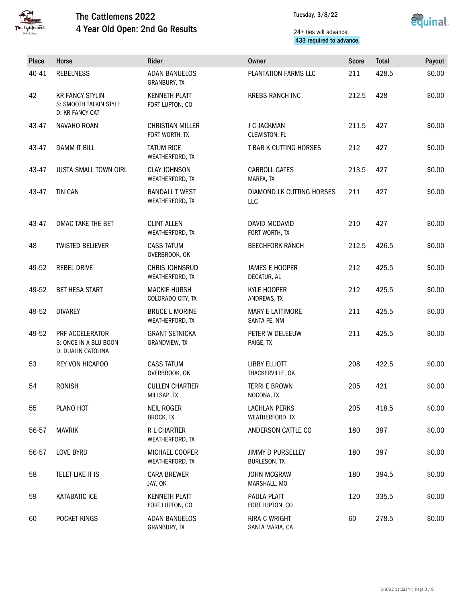



### 24+ ties will advance. 433 required to advance.

| Place | Horse                                                               | Rider                                     | Owner                                    | <b>Score</b> | <b>Total</b> | Payout |
|-------|---------------------------------------------------------------------|-------------------------------------------|------------------------------------------|--------------|--------------|--------|
| 40-41 | <b>REBELNESS</b>                                                    | <b>ADAN BANUELOS</b><br>GRANBURY, TX      | PLANTATION FARMS LLC                     | 211          | 428.5        | \$0.00 |
| 42    | <b>KR FANCY STYLIN</b><br>S: SMOOTH TALKIN STYLE<br>D: KR FANCY CAT | <b>KENNETH PLATT</b><br>FORT LUPTON, CO   | <b>KREBS RANCH INC</b>                   | 212.5        | 428          | \$0.00 |
| 43-47 | NAVAHO ROAN                                                         | <b>CHRISTIAN MILLER</b><br>FORT WORTH, TX | J C JACKMAN<br>CLEWISTON, FL             | 211.5        | 427          | \$0.00 |
| 43-47 | <b>DAMM IT BILL</b>                                                 | <b>TATUM RICE</b><br>WEATHERFORD, TX      | T BAR K CUTTING HORSES                   | 212          | 427          | \$0.00 |
| 43-47 | <b>JUSTA SMALL TOWN GIRL</b>                                        | <b>CLAY JOHNSON</b><br>WEATHERFORD, TX    | <b>CARROLL GATES</b><br>MARFA, TX        | 213.5        | 427          | \$0.00 |
| 43-47 | <b>TIN CAN</b>                                                      | <b>RANDALL T WEST</b><br>WEATHERFORD, TX  | DIAMOND LK CUTTING HORSES<br>LLC         | 211          | 427          | \$0.00 |
| 43-47 | DMAC TAKE THE BET                                                   | <b>CLINT ALLEN</b><br>WEATHERFORD, TX     | DAVID MCDAVID<br>FORT WORTH, TX          | 210          | 427          | \$0.00 |
| 48    | <b>TWISTED BELIEVER</b>                                             | <b>CASS TATUM</b><br>OVERBROOK, OK        | <b>BEECHFORK RANCH</b>                   | 212.5        | 426.5        | \$0.00 |
| 49-52 | <b>REBEL DRIVE</b>                                                  | <b>CHRIS JOHNSRUD</b><br>WEATHERFORD, TX  | <b>JAMES E HOOPER</b><br>DECATUR, AL     | 212          | 425.5        | \$0.00 |
| 49-52 | <b>BET HESA START</b>                                               | <b>MACKIE HURSH</b><br>COLORADO CITY, TX  | KYLE HOOPER<br>ANDREWS, TX               | 212          | 425.5        | \$0.00 |
| 49-52 | <b>DIVAREY</b>                                                      | <b>BRUCE L MORINE</b><br>WEATHERFORD, TX  | <b>MARY E LATTIMORE</b><br>SANTA FE, NM  | 211          | 425.5        | \$0.00 |
| 49-52 | PRF ACCELERATOR<br>S: ONCE IN A BLU BOON<br>D: DUALIN CATOLINA      | <b>GRANT SETNICKA</b><br>GRANDVIEW, TX    | PETER W DELEEUW<br>PAIGE, TX             | 211          | 425.5        | \$0.00 |
| 53    | REY VON HICAPOO                                                     | <b>CASS TATUM</b><br>OVERBROOK, OK        | <b>LIBBY ELLIOTT</b><br>THACKERVILLE, OK | 208          | 422.5        | \$0.00 |
| 54    | <b>RONISH</b>                                                       | <b>CULLEN CHARTIER</b><br>MILLSAP, TX     | <b>TERRI E BROWN</b><br>NOCONA, TX       | 205          | 421          | \$0.00 |
| 55    | PLANO HOT                                                           | <b>NEIL ROGER</b><br>BROCK, TX            | <b>LACHLAN PERKS</b><br>WEATHERFORD, TX  | 205          | 418.5        | \$0.00 |
| 56-57 | <b>MAVRIK</b>                                                       | <b>R L CHARTIER</b><br>WEATHERFORD, TX    | ANDERSON CATTLE CO                       | 180          | 397          | \$0.00 |
| 56-57 | LOVE BYRD                                                           | MICHAEL COOPER<br>WEATHERFORD, TX         | <b>JIMMY D PURSELLEY</b><br>BURLESON, TX | 180          | 397          | \$0.00 |
| 58    | TELET LIKE IT IS                                                    | <b>CARA BREWER</b><br>JAY, OK             | <b>JOHN MCGRAW</b><br>MARSHALL, MO       | 180          | 394.5        | \$0.00 |
| 59    | KATABATIC ICE                                                       | <b>KENNETH PLATT</b><br>FORT LUPTON, CO   | PAULA PLATT<br>FORT LUPTON, CO           | 120          | 335.5        | \$0.00 |
| 60    | POCKET KINGS                                                        | <b>ADAN BANUELOS</b><br>GRANBURY, TX      | <b>KIRA C WRIGHT</b><br>SANTA MARIA, CA  | 60           | 278.5        | \$0.00 |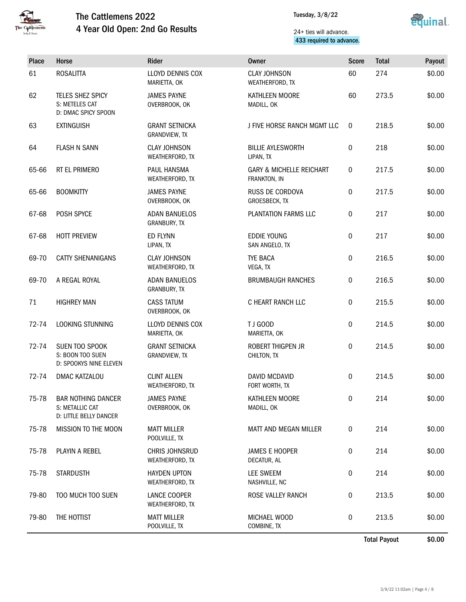



### 24+ ties will advance. 433 required to advance.

| <b>Place</b> | Horse                                                                  | Rider                                    | <b>Owner</b>                                        | <b>Score</b> | <b>Total</b> | Payout |
|--------------|------------------------------------------------------------------------|------------------------------------------|-----------------------------------------------------|--------------|--------------|--------|
| 61           | <b>ROSALITTA</b>                                                       | LLOYD DENNIS COX<br>MARIETTA, OK         | <b>CLAY JOHNSON</b><br>WEATHERFORD, TX              | 60           | 274          | \$0.00 |
| 62           | TELES SHEZ SPICY<br>S: METELES CAT<br>D: DMAC SPICY SPOON              | <b>JAMES PAYNE</b><br>OVERBROOK, OK      | KATHLEEN MOORE<br>MADILL, OK                        | 60           | 273.5        | \$0.00 |
| 63           | <b>EXTINGUISH</b>                                                      | <b>GRANT SETNICKA</b><br>GRANDVIEW, TX   | J FIVE HORSE RANCH MGMT LLC                         | $\mathbf 0$  | 218.5        | \$0.00 |
| 64           | <b>FLASH N SANN</b>                                                    | <b>CLAY JOHNSON</b><br>WEATHERFORD, TX   | <b>BILLIE AYLESWORTH</b><br>LIPAN, TX               | 0            | 218          | \$0.00 |
| 65-66        | RT EL PRIMERO                                                          | <b>PAUL HANSMA</b><br>WEATHERFORD, TX    | <b>GARY &amp; MICHELLE REICHART</b><br>FRANKTON, IN | 0            | 217.5        | \$0.00 |
| 65-66        | <b>BOOMKITTY</b>                                                       | <b>JAMES PAYNE</b><br>OVERBROOK, OK      | RUSS DE CORDOVA<br>GROESBECK, TX                    | 0            | 217.5        | \$0.00 |
| 67-68        | POSH SPYCE                                                             | <b>ADAN BANUELOS</b><br>GRANBURY, TX     | PLANTATION FARMS LLC                                | 0            | 217          | \$0.00 |
| 67-68        | <b>HOTT PREVIEW</b>                                                    | ED FLYNN<br>LIPAN, TX                    | <b>EDDIE YOUNG</b><br>SAN ANGELO, TX                | 0            | 217          | \$0.00 |
| 69-70        | <b>CATTY SHENANIGANS</b>                                               | <b>CLAY JOHNSON</b><br>WEATHERFORD, TX   | <b>TYE BACA</b><br>VEGA, TX                         | 0            | 216.5        | \$0.00 |
| 69-70        | A REGAL ROYAL                                                          | <b>ADAN BANUELOS</b><br>GRANBURY, TX     | <b>BRUMBAUGH RANCHES</b>                            | 0            | 216.5        | \$0.00 |
| 71           | <b>HIGHREY MAN</b>                                                     | <b>CASS TATUM</b><br>OVERBROOK, OK       | C HEART RANCH LLC                                   | 0            | 215.5        | \$0.00 |
| 72-74        | LOOKING STUNNING                                                       | LLOYD DENNIS COX<br>MARIETTA, OK         | TJ GOOD<br>MARIETTA, OK                             | 0            | 214.5        | \$0.00 |
| 72-74        | SUEN TOO SPOOK<br>S: BOON TOO SUEN<br>D: SPOOKYS NINE ELEVEN           | <b>GRANT SETNICKA</b><br>GRANDVIEW, TX   | ROBERT THIGPEN JR<br>CHILTON, TX                    | 0            | 214.5        | \$0.00 |
| 72-74        | DMAC KATZALOU                                                          | <b>CLINT ALLEN</b><br>WEATHERFORD, TX    | DAVID MCDAVID<br>FORT WORTH, TX                     | 0            | 214.5        | \$0.00 |
| 75-78        | <b>BAR NOTHING DANCER</b><br>S: METALLIC CAT<br>D: LITTLE BELLY DANCER | <b>JAMES PAYNE</b><br>OVERBROOK, OK      | KATHLEEN MOORE<br>MADILL, OK                        | 0            | 214          | \$0.00 |
| 75-78        | MISSION TO THE MOON                                                    | <b>MATT MILLER</b><br>POOLVILLE, TX      | MATT AND MEGAN MILLER                               | 0            | 214          | \$0.00 |
| 75-78        | PLAYIN A REBEL                                                         | <b>CHRIS JOHNSRUD</b><br>WEATHERFORD, TX | <b>JAMES E HOOPER</b><br>DECATUR, AL                | 0            | 214          | \$0.00 |
| 75-78        | <b>STARDUSTH</b>                                                       | <b>HAYDEN UPTON</b><br>WEATHERFORD, TX   | <b>LEE SWEEM</b><br>NASHVILLE, NC                   | 0            | 214          | \$0.00 |
| 79-80        | TOO MUCH TOO SUEN                                                      | LANCE COOPER<br>WEATHERFORD, TX          | ROSE VALLEY RANCH                                   | 0            | 213.5        | \$0.00 |
| 79-80        | THE HOTTIST                                                            | <b>MATT MILLER</b><br>POOLVILLE, TX      | MICHAEL WOOD<br>COMBINE, TX                         | 0            | 213.5        | \$0.00 |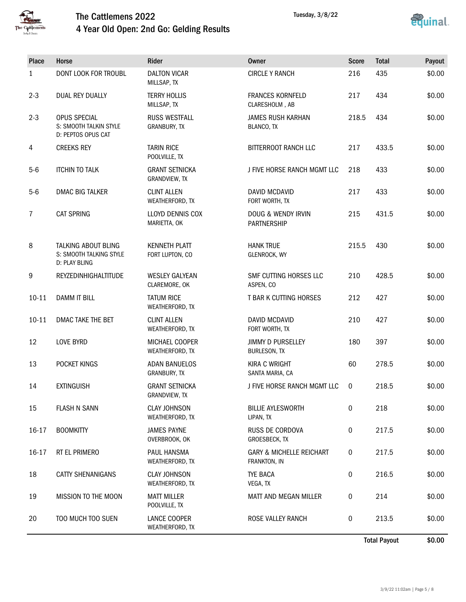



| Place          | Horse                                                                  | Rider                                   | <b>Owner</b>                                        | <b>Score</b> | <b>Total</b> | Payout |
|----------------|------------------------------------------------------------------------|-----------------------------------------|-----------------------------------------------------|--------------|--------------|--------|
| $\mathbf{1}$   | DONT LOOK FOR TROUBL                                                   | <b>DALTON VICAR</b><br>MILLSAP, TX      | <b>CIRCLE Y RANCH</b>                               | 216          | 435          | \$0.00 |
| $2 - 3$        | DUAL REY DUALLY                                                        | <b>TERRY HOLLIS</b><br>MILLSAP, TX      | <b>FRANCES KORNFELD</b><br>CLARESHOLM, AB           | 217          | 434          | \$0.00 |
| $2 - 3$        | OPUS SPECIAL<br>S: SMOOTH TALKIN STYLE<br>D: PEPTOS OPUS CAT           | <b>RUSS WESTFALL</b><br>GRANBURY, TX    | <b>JAMES RUSH KARHAN</b><br>BLANCO, TX              | 218.5        | 434          | \$0.00 |
| 4              | <b>CREEKS REY</b>                                                      | <b>TARIN RICE</b><br>POOLVILLE, TX      | BITTERROOT RANCH LLC                                | 217          | 433.5        | \$0.00 |
| $5-6$          | <b>ITCHIN TO TALK</b>                                                  | <b>GRANT SETNICKA</b><br>GRANDVIEW, TX  | J FIVE HORSE RANCH MGMT LLC                         | 218          | 433          | \$0.00 |
| $5-6$          | <b>DMAC BIG TALKER</b>                                                 | <b>CLINT ALLEN</b><br>WEATHERFORD, TX   | DAVID MCDAVID<br>FORT WORTH, TX                     | 217          | 433          | \$0.00 |
| $\overline{7}$ | <b>CAT SPRING</b>                                                      | LLOYD DENNIS COX<br>MARIETTA, OK        | DOUG & WENDY IRVIN<br><b>PARTNERSHIP</b>            | 215          | 431.5        | \$0.00 |
| 8              | <b>TALKING ABOUT BLING</b><br>S: SMOOTH TALKING STYLE<br>D: PLAY BLING | <b>KENNETH PLATT</b><br>FORT LUPTON, CO | <b>HANK TRUE</b><br>GLENROCK, WY                    | 215.5        | 430          | \$0.00 |
| 9              | REYZEDINHIGHALTITUDE                                                   | <b>WESLEY GALYEAN</b><br>CLAREMORE, OK  | SMF CUTTING HORSES LLC<br>ASPEN, CO                 | 210          | 428.5        | \$0.00 |
| $10 - 11$      | <b>DAMM IT BILL</b>                                                    | <b>TATUM RICE</b><br>WEATHERFORD, TX    | T BAR K CUTTING HORSES                              | 212          | 427          | \$0.00 |
| $10 - 11$      | DMAC TAKE THE BET                                                      | <b>CLINT ALLEN</b><br>WEATHERFORD, TX   | DAVID MCDAVID<br>FORT WORTH, TX                     | 210          | 427          | \$0.00 |
| 12             | <b>LOVE BYRD</b>                                                       | MICHAEL COOPER<br>WEATHERFORD, TX       | <b>JIMMY D PURSELLEY</b><br>BURLESON, TX            | 180          | 397          | \$0.00 |
| 13             | POCKET KINGS                                                           | <b>ADAN BANUELOS</b><br>GRANBURY, TX    | <b>KIRA C WRIGHT</b><br>SANTA MARIA, CA             | 60           | 278.5        | \$0.00 |
| 14             | <b>EXTINGUISH</b>                                                      | <b>GRANT SETNICKA</b><br>GRANDVIEW, TX  | J FIVE HORSE RANCH MGMT LLC                         | 0            | 218.5        | \$0.00 |
| 15             | <b>FLASH N SANN</b>                                                    | <b>CLAY JOHNSON</b><br>WEATHERFORD, TX  | <b>BILLIE AYLESWORTH</b><br>LIPAN, TX               | 0            | 218          | \$0.00 |
| 16-17          | <b>BOOMKITTY</b>                                                       | <b>JAMES PAYNE</b><br>OVERBROOK, OK     | RUSS DE CORDOVA<br>GROESBECK, TX                    | 0            | 217.5        | \$0.00 |
| 16-17          | RT EL PRIMERO                                                          | PAUL HANSMA<br>WEATHERFORD, TX          | <b>GARY &amp; MICHELLE REICHART</b><br>FRANKTON, IN | $\pmb{0}$    | 217.5        | \$0.00 |
| 18             | <b>CATTY SHENANIGANS</b>                                               | <b>CLAY JOHNSON</b><br>WEATHERFORD, TX  | <b>TYE BACA</b><br>VEGA, TX                         | 0            | 216.5        | \$0.00 |
| 19             | MISSION TO THE MOON                                                    | <b>MATT MILLER</b><br>POOLVILLE, TX     | MATT AND MEGAN MILLER                               | 0            | 214          | \$0.00 |
| 20             | TOO MUCH TOO SUEN                                                      | LANCE COOPER<br>WEATHERFORD, TX         | ROSE VALLEY RANCH                                   | 0            | 213.5        | \$0.00 |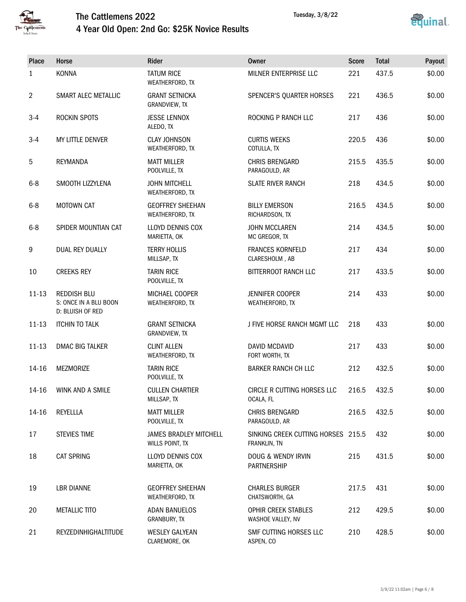

## The Cattlemens 2022 4 Year Old Open: 2nd Go: \$25K Novice Results



| Place          | Horse                                                           | Rider                                            | <b>Owner</b>                                       | <b>Score</b> | <b>Total</b> | Payout |
|----------------|-----------------------------------------------------------------|--------------------------------------------------|----------------------------------------------------|--------------|--------------|--------|
| 1              | <b>KONNA</b>                                                    | <b>TATUM RICE</b><br>WEATHERFORD, TX             | MILNER ENTERPRISE LLC                              | 221          | 437.5        | \$0.00 |
| $\overline{2}$ | SMART ALEC METALLIC                                             | <b>GRANT SETNICKA</b><br>GRANDVIEW, TX           | SPENCER'S QUARTER HORSES                           | 221          | 436.5        | \$0.00 |
| $3-4$          | ROCKIN SPOTS                                                    | <b>JESSE LENNOX</b><br>ALEDO, TX                 | ROCKING P RANCH LLC                                | 217          | 436          | \$0.00 |
| $3 - 4$        | MY LITTLE DENVER                                                | <b>CLAY JOHNSON</b><br>WEATHERFORD, TX           | <b>CURTIS WEEKS</b><br>COTULLA, TX                 | 220.5        | 436          | \$0.00 |
| 5              | REYMANDA                                                        | <b>MATT MILLER</b><br>POOLVILLE, TX              | CHRIS BRENGARD<br>PARAGOULD, AR                    | 215.5        | 435.5        | \$0.00 |
| $6 - 8$        | SMOOTH LIZZYLENA                                                | <b>JOHN MITCHELL</b><br>WEATHERFORD, TX          | <b>SLATE RIVER RANCH</b>                           | 218          | 434.5        | \$0.00 |
| $6 - 8$        | <b>MOTOWN CAT</b>                                               | <b>GEOFFREY SHEEHAN</b><br>WEATHERFORD, TX       | <b>BILLY EMERSON</b><br>RICHARDSON, TX             | 216.5        | 434.5        | \$0.00 |
| $6 - 8$        | SPIDER MOUNTIAN CAT                                             | <b>LLOYD DENNIS COX</b><br>MARIETTA, OK          | <b>JOHN MCCLAREN</b><br>MC GREGOR, TX              | 214          | 434.5        | \$0.00 |
| 9              | DUAL REY DUALLY                                                 | <b>TERRY HOLLIS</b><br>MILLSAP, TX               | <b>FRANCES KORNFELD</b><br>CLARESHOLM, AB          | 217          | 434          | \$0.00 |
| 10             | <b>CREEKS REY</b>                                               | <b>TARIN RICE</b><br>POOLVILLE, TX               | BITTERROOT RANCH LLC                               | 217          | 433.5        | \$0.00 |
| $11 - 13$      | <b>REDDISH BLU</b><br>S: ONCE IN A BLU BOON<br>D: BLUISH OF RED | MICHAEL COOPER<br>WEATHERFORD, TX                | JENNIFER COOPER<br>WEATHERFORD, TX                 | 214          | 433          | \$0.00 |
| $11 - 13$      | <b>ITCHIN TO TALK</b>                                           | <b>GRANT SETNICKA</b><br>GRANDVIEW, TX           | J FIVE HORSE RANCH MGMT LLC                        | 218          | 433          | \$0.00 |
| $11 - 13$      | DMAC BIG TALKER                                                 | <b>CLINT ALLEN</b><br>WEATHERFORD, TX            | DAVID MCDAVID<br>FORT WORTH, TX                    | 217          | 433          | \$0.00 |
| 14-16          | MEZMORIZE                                                       | <b>TARIN RICE</b><br>POOLVILLE, TX               | <b>BARKER RANCH CH LLC</b>                         | 212          | 432.5        | \$0.00 |
| 14-16          | WINK AND A SMILE                                                | <b>CULLEN CHARTIER</b><br>MILLSAP, TX            | CIRCLE R CUTTING HORSES LLC<br>OCALA, FL           | 216.5        | 432.5        | \$0.00 |
| 14-16          | REYELLLA                                                        | <b>MATT MILLER</b><br>POOLVILLE, TX              | CHRIS BRENGARD<br>PARAGOULD, AR                    | 216.5        | 432.5        | \$0.00 |
| 17             | <b>STEVIES TIME</b>                                             | <b>JAMES BRADLEY MITCHELL</b><br>WILLS POINT, TX | SINKING CREEK CUTTING HORSES 215.5<br>FRANKLIN, TN |              | 432          | \$0.00 |
| 18             | <b>CAT SPRING</b>                                               | <b>LLOYD DENNIS COX</b><br>MARIETTA, OK          | DOUG & WENDY IRVIN<br>PARTNERSHIP                  | 215          | 431.5        | \$0.00 |
| 19             | <b>LBR DIANNE</b>                                               | <b>GEOFFREY SHEEHAN</b><br>WEATHERFORD, TX       | <b>CHARLES BURGER</b><br>CHATSWORTH, GA            | 217.5        | 431          | \$0.00 |
| 20             | <b>METALLIC TITO</b>                                            | <b>ADAN BANUELOS</b><br>GRANBURY, TX             | <b>OPHIR CREEK STABLES</b><br>WASHOE VALLEY, NV    | 212          | 429.5        | \$0.00 |
| 21             | REYZEDINHIGHALTITUDE                                            | <b>WESLEY GALYEAN</b><br>CLAREMORE, OK           | SMF CUTTING HORSES LLC<br>ASPEN, CO                | 210          | 428.5        | \$0.00 |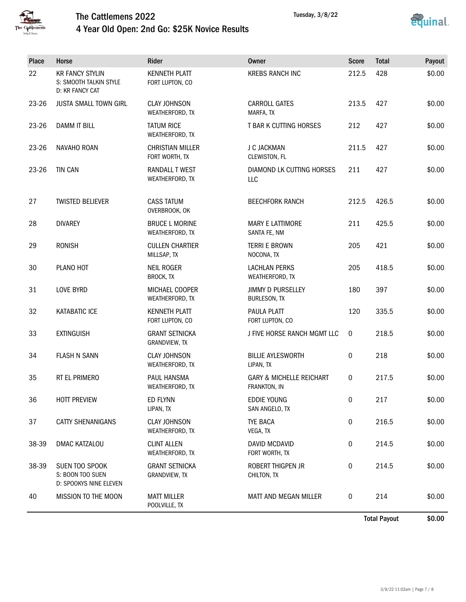

# The Cattlemens 2022 4 Year Old Open: 2nd Go: \$25K Novice Results



| Place | Horse                                                               | Rider                                     | <b>Owner</b>                                        | <b>Score</b>     | <b>Total</b> | Payout |
|-------|---------------------------------------------------------------------|-------------------------------------------|-----------------------------------------------------|------------------|--------------|--------|
| 22    | <b>KR FANCY STYLIN</b><br>S: SMOOTH TALKIN STYLE<br>D: KR FANCY CAT | <b>KENNETH PLATT</b><br>FORT LUPTON, CO   | <b>KREBS RANCH INC</b>                              | 212.5            | 428          | \$0.00 |
| 23-26 | <b>JUSTA SMALL TOWN GIRL</b>                                        | <b>CLAY JOHNSON</b><br>WEATHERFORD, TX    | <b>CARROLL GATES</b><br>MARFA, TX                   | 213.5            | 427          | \$0.00 |
| 23-26 | <b>DAMM IT BILL</b>                                                 | <b>TATUM RICE</b><br>WEATHERFORD, TX      | T BAR K CUTTING HORSES                              | 212              | 427          | \$0.00 |
| 23-26 | NAVAHO ROAN                                                         | <b>CHRISTIAN MILLER</b><br>FORT WORTH, TX | J C JACKMAN<br>CLEWISTON, FL                        | 211.5            | 427          | \$0.00 |
| 23-26 | <b>TIN CAN</b>                                                      | RANDALL T WEST<br>WEATHERFORD, TX         | DIAMOND LK CUTTING HORSES<br>LLC                    | 211              | 427          | \$0.00 |
| 27    | <b>TWISTED BELIEVER</b>                                             | <b>CASS TATUM</b><br>OVERBROOK, OK        | <b>BEECHFORK RANCH</b>                              | 212.5            | 426.5        | \$0.00 |
| 28    | <b>DIVAREY</b>                                                      | <b>BRUCE L MORINE</b><br>WEATHERFORD, TX  | <b>MARY E LATTIMORE</b><br>SANTA FE, NM             | 211              | 425.5        | \$0.00 |
| 29    | <b>RONISH</b>                                                       | <b>CULLEN CHARTIER</b><br>MILLSAP, TX     | <b>TERRI E BROWN</b><br>NOCONA, TX                  | 205              | 421          | \$0.00 |
| 30    | PLANO HOT                                                           | <b>NEIL ROGER</b><br>BROCK, TX            | <b>LACHLAN PERKS</b><br>WEATHERFORD, TX             | 205              | 418.5        | \$0.00 |
| 31    | <b>LOVE BYRD</b>                                                    | MICHAEL COOPER<br>WEATHERFORD, TX         | <b>JIMMY D PURSELLEY</b><br><b>BURLESON, TX</b>     | 180              | 397          | \$0.00 |
| 32    | KATABATIC ICE                                                       | <b>KENNETH PLATT</b><br>FORT LUPTON, CO   | PAULA PLATT<br>FORT LUPTON, CO                      | 120              | 335.5        | \$0.00 |
| 33    | <b>EXTINGUISH</b>                                                   | <b>GRANT SETNICKA</b><br>GRANDVIEW, TX    | J FIVE HORSE RANCH MGMT LLC                         | $\mathbf 0$      | 218.5        | \$0.00 |
| 34    | <b>FLASH N SANN</b>                                                 | <b>CLAY JOHNSON</b><br>WEATHERFORD, TX    | <b>BILLIE AYLESWORTH</b><br>LIPAN, TX               | $\boldsymbol{0}$ | 218          | \$0.00 |
| 35    | RT EL PRIMERO                                                       | PAUL HANSMA<br>WEATHERFORD, TX            | <b>GARY &amp; MICHELLE REICHART</b><br>FRANKTON, IN | 0                | 217.5        | \$0.00 |
| 36    | <b>HOTT PREVIEW</b>                                                 | ED FLYNN<br>LIPAN, TX                     | <b>EDDIE YOUNG</b><br>SAN ANGELO, TX                | 0                | 217          | \$0.00 |
| 37    | CATTY SHENANIGANS                                                   | <b>CLAY JOHNSON</b><br>WEATHERFORD, TX    | TYE BACA<br>VEGA, TX                                | 0                | 216.5        | \$0.00 |
| 38-39 | DMAC KATZALOU                                                       | <b>CLINT ALLEN</b><br>WEATHERFORD, TX     | DAVID MCDAVID<br>FORT WORTH, TX                     | 0                | 214.5        | \$0.00 |
| 38-39 | SUEN TOO SPOOK<br>S: BOON TOO SUEN<br>D: SPOOKYS NINE ELEVEN        | <b>GRANT SETNICKA</b><br>GRANDVIEW, TX    | ROBERT THIGPEN JR<br>CHILTON, TX                    | 0                | 214.5        | \$0.00 |
| 40    | MISSION TO THE MOON                                                 | <b>MATT MILLER</b><br>POOLVILLE, TX       | MATT AND MEGAN MILLER                               | 0                | 214          | \$0.00 |